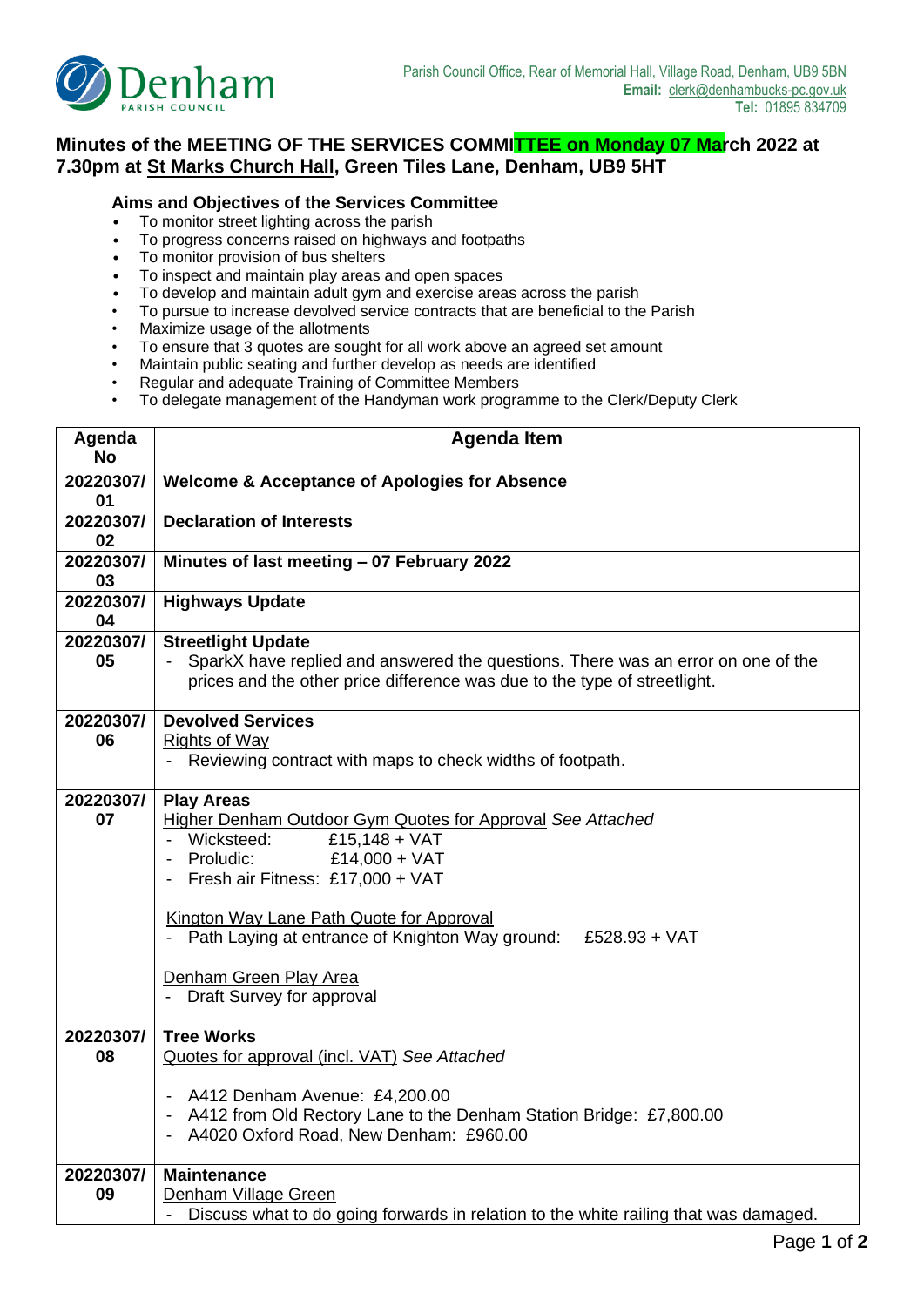

## **Minutes of the MEETING OF THE SERVICES COMMITTEE on Monday 07 March 2022 at 7.30pm at St Marks Church Hall, Green Tiles Lane, Denham, UB9 5HT**

## **Aims and Objectives of the Services Committee**

- To monitor street lighting across the parish
- To progress concerns raised on highways and footpaths
- To monitor provision of bus shelters
- To inspect and maintain play areas and open spaces
- To develop and maintain adult gym and exercise areas across the parish
- To pursue to increase devolved service contracts that are beneficial to the Parish
- Maximize usage of the allotments
- To ensure that 3 quotes are sought for all work above an agreed set amount
- Maintain public seating and further develop as needs are identified
- Regular and adequate Training of Committee Members
- To delegate management of the Handyman work programme to the Clerk/Deputy Clerk

| Agenda          | <b>Agenda Item</b>                                                                   |  |  |  |  |  |
|-----------------|--------------------------------------------------------------------------------------|--|--|--|--|--|
| <b>No</b>       |                                                                                      |  |  |  |  |  |
| 20220307/       | <b>Welcome &amp; Acceptance of Apologies for Absence</b>                             |  |  |  |  |  |
| 01<br>20220307/ |                                                                                      |  |  |  |  |  |
| 02              | <b>Declaration of Interests</b>                                                      |  |  |  |  |  |
| 20220307/       | Minutes of last meeting - 07 February 2022                                           |  |  |  |  |  |
| 03              |                                                                                      |  |  |  |  |  |
| 20220307/       | <b>Highways Update</b>                                                               |  |  |  |  |  |
| 04              |                                                                                      |  |  |  |  |  |
| 20220307/       | <b>Streetlight Update</b>                                                            |  |  |  |  |  |
| 05              | SparkX have replied and answered the questions. There was an error on one of the     |  |  |  |  |  |
|                 | prices and the other price difference was due to the type of streetlight.            |  |  |  |  |  |
| 20220307/       | <b>Devolved Services</b>                                                             |  |  |  |  |  |
| 06              | <b>Rights of Way</b>                                                                 |  |  |  |  |  |
|                 | Reviewing contract with maps to check widths of footpath.                            |  |  |  |  |  |
|                 |                                                                                      |  |  |  |  |  |
| 20220307/       | <b>Play Areas</b>                                                                    |  |  |  |  |  |
| 07              | <b>Higher Denham Outdoor Gym Quotes for Approval See Attached</b>                    |  |  |  |  |  |
|                 | - Wicksteed:<br>£15,148 + VAT                                                        |  |  |  |  |  |
|                 | Proludic:<br>£14,000 + VAT                                                           |  |  |  |  |  |
|                 | Fresh air Fitness: £17,000 + VAT                                                     |  |  |  |  |  |
|                 | Kington Way Lane Path Quote for Approval                                             |  |  |  |  |  |
|                 | Path Laying at entrance of Knighton Way ground: £528.93 + VAT                        |  |  |  |  |  |
|                 |                                                                                      |  |  |  |  |  |
|                 | Denham Green Play Area                                                               |  |  |  |  |  |
|                 | Draft Survey for approval                                                            |  |  |  |  |  |
| 20220307/       | <b>Tree Works</b>                                                                    |  |  |  |  |  |
| 08              | Quotes for approval (incl. VAT) See Attached                                         |  |  |  |  |  |
|                 |                                                                                      |  |  |  |  |  |
|                 | - A412 Denham Avenue: £4,200.00                                                      |  |  |  |  |  |
|                 | - A412 from Old Rectory Lane to the Denham Station Bridge: £7,800.00                 |  |  |  |  |  |
|                 | A4020 Oxford Road, New Denham: £960.00                                               |  |  |  |  |  |
|                 |                                                                                      |  |  |  |  |  |
| 20220307/       | <b>Maintenance</b>                                                                   |  |  |  |  |  |
| 09              | Denham Village Green                                                                 |  |  |  |  |  |
|                 | Discuss what to do going forwards in relation to the white railing that was damaged. |  |  |  |  |  |